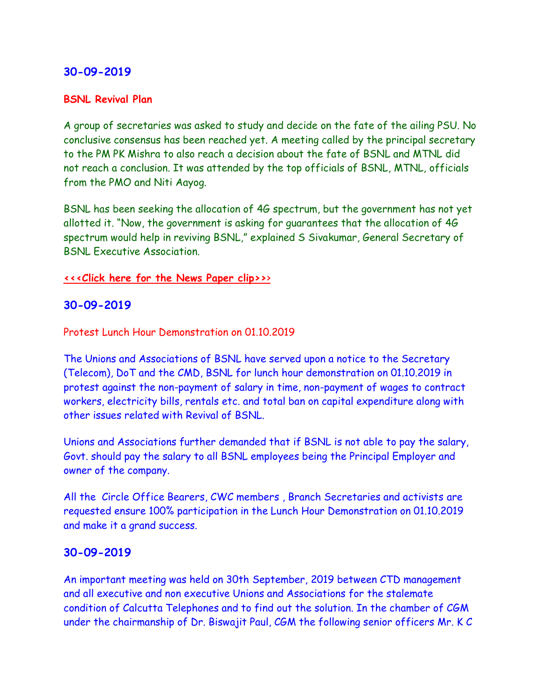## **30-09-2019**

#### **BSNL Revival Plan**

A group of secretaries was asked to study and decide on the fate of the ailing PSU. No conclusive consensus has been reached yet. A meeting called by the principal secretary to the PM PK Mishra to also reach a decision about the fate of BSNL and MTNL did not reach a conclusion. It was attended by the top officials of BSNL, MTNL, officials from the PMO and Niti Aayog.

BSNL has been seeking the allocation of 4G spectrum, but the government has not yet allotted it. "Now, the government is asking for guarantees that the allocation of 4G spectrum would help in reviving BSNL," explained S Sivakumar, General Secretary of BSNL Executive Association.

#### **[<<<Click here for the News Paper clip>>](https://www.nationalheraldindia.com/india/mtnl-staffers-yet-to-get-august-sept-salary-bsnl-delays-salary-again)**[>](https://www.nationalheraldindia.com/india/mtnl-staffers-yet-to-get-august-sept-salary-bsnl-delays-salary-again)

### **30-09-2019**

Protest Lunch Hour Demonstration on 01.10.2019

The Unions and Associations of BSNL have served upon a notice to the Secretary (Telecom), DoT and the CMD, BSNL for lunch hour demonstration on 01.10.2019 in protest against the non-payment of salary in time, non-payment of wages to contract workers, electricity bills, rentals etc. and total ban on capital expenditure along with other issues related with Revival of BSNL.

Unions and Associations further demanded that if BSNL is not able to pay the salary, Govt. should pay the salary to all BSNL employees being the Principal Employer and owner of the company.

All the Circle Office Bearers, CWC members , Branch Secretaries and activists are requested ensure 100% participation in the Lunch Hour Demonstration on 01.10.2019 and make it a grand success.

## **30-09-2019**

An important meeting was held on 30th September, 2019 between CTD management and all executive and non executive Unions and Associations for the stalemate condition of Calcutta Telephones and to find out the solution. In the chamber of CGM under the chairmanship of Dr. Biswajit Paul, CGM the following senior officers Mr. K C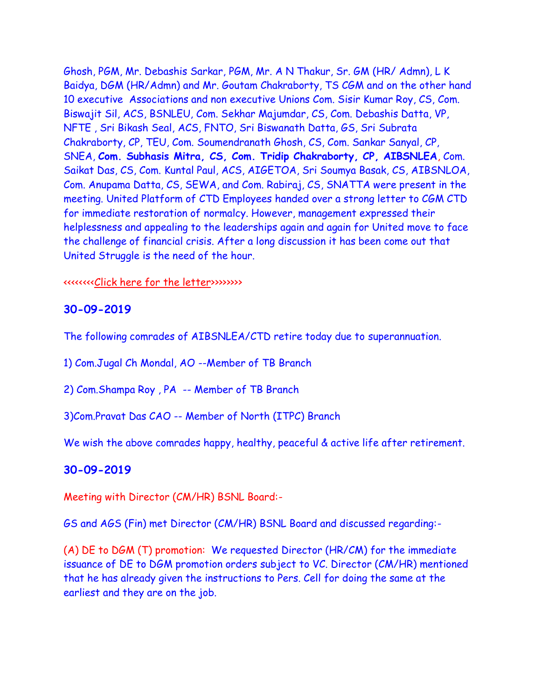Ghosh, PGM, Mr. Debashis Sarkar, PGM, Mr. A N Thakur, Sr. GM (HR/ Admn), L K Baidya, DGM (HR/Admn) and Mr. Goutam Chakraborty, TS CGM and on the other hand 10 executive Associations and non executive Unions Com. Sisir Kumar Roy, CS, Com. Biswajit Sil, ACS, BSNLEU, Com. Sekhar Majumdar, CS, Com. Debashis Datta, VP, NFTE , Sri Bikash Seal, ACS, FNTO, Sri Biswanath Datta, GS, Sri Subrata Chakraborty, CP, TEU, Com. Soumendranath Ghosh, CS, Com. Sankar Sanyal, CP, SNEA, **Com. Subhasis Mitra, CS, Com. Tridip Chakraborty, CP, AIBSNLEA**, Com. Saikat Das, CS, Com. Kuntal Paul, ACS, AIGETOA, Sri Soumya Basak, CS, AIBSNLOA, Com. Anupama Datta, CS, SEWA, and Com. Rabiraj, CS, SNATTA were present in the meeting. United Platform of CTD Employees handed over a strong letter to CGM CTD for immediate restoration of normalcy. However, management expressed their helplessness and appealing to the leaderships again and again for United move to face the challenge of financial crisis. After a long discussion it has been come out that United Struggle is the need of the hour.

#### <<<<<<<[<Click here for the letter>](http://aibsnleawb.org/CGM_%202019-09-30.pdf)>>>>>>>

#### **30-09-2019**

The following comrades of AIBSNLEA/CTD retire today due to superannuation.

1) Com.Jugal Ch Mondal, AO --Member of TB Branch

2) Com.Shampa Roy , PA -- Member of TB Branch

3)Com.Pravat Das CAO -- Member of North (ITPC) Branch

We wish the above comrades happy, healthy, peaceful & active life after retirement.

#### **30-09-2019**

Meeting with Director (CM/HR) BSNL Board:-

GS and AGS (Fin) met Director (CM/HR) BSNL Board and discussed regarding:-

(A) DE to DGM (T) promotion: We requested Director (HR/CM) for the immediate issuance of DE to DGM promotion orders subject to VC. Director (CM/HR) mentioned that he has already given the instructions to Pers. Cell for doing the same at the earliest and they are on the job.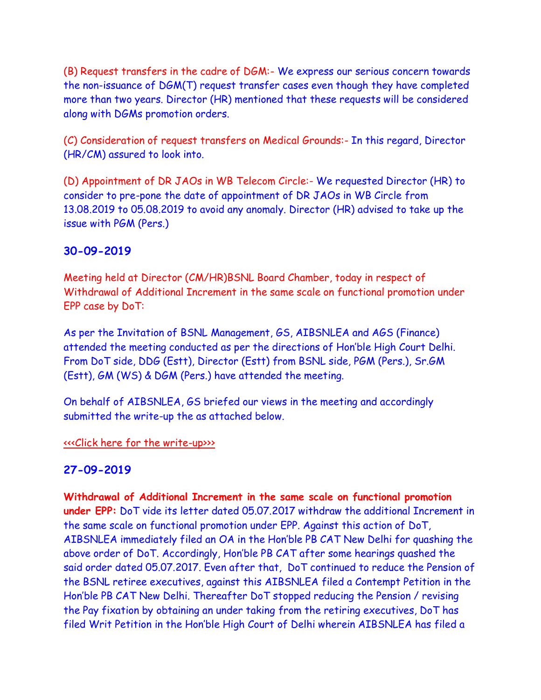(B) Request transfers in the cadre of DGM:- We express our serious concern towards the non-issuance of DGM(T) request transfer cases even though they have completed more than two years. Director (HR) mentioned that these requests will be considered along with DGMs promotion orders.

(C) Consideration of request transfers on Medical Grounds:- In this regard, Director (HR/CM) assured to look into.

(D) Appointment of DR JAOs in WB Telecom Circle:- We requested Director (HR) to consider to pre-pone the date of appointment of DR JAOs in WB Circle from 13.08.2019 to 05.08.2019 to avoid any anomaly. Director (HR) advised to take up the issue with PGM (Pers.)

## **30-09-2019**

Meeting held at Director (CM/HR)BSNL Board Chamber, today in respect of Withdrawal of Additional Increment in the same scale on functional promotion under EPP case by DoT:

As per the Invitation of BSNL Management, GS, AIBSNLEA and AGS (Finance) attended the meeting conducted as per the directions of Hon'ble High Court Delhi. From DoT side, DDG (Estt), Director (Estt) from BSNL side, PGM (Pers.), Sr.GM (Estt), GM (WS) & DGM (Pers.) have attended the meeting.

On behalf of AIBSNLEA, GS briefed our views in the meeting and accordingly submitted the write-up the as attached below.

[<<<Click here for the write-up>>>](http://www.aibsnleachq.in/DRHR_190930.pdf)

## **27-09-2019**

**Withdrawal of Additional Increment in the same scale on functional promotion under EPP:** DoT vide its letter dated 05.07.2017 withdraw the additional Increment in the same scale on functional promotion under EPP. Against this action of DoT, AIBSNLEA immediately filed an OA in the Hon'ble PB CAT New Delhi for quashing the above order of DoT. Accordingly, Hon'ble PB CAT after some hearings quashed the said order dated 05.07.2017. Even after that, DoT continued to reduce the Pension of the BSNL retiree executives, against this AIBSNLEA filed a Contempt Petition in the Hon'ble PB CAT New Delhi. Thereafter DoT stopped reducing the Pension / revising the Pay fixation by obtaining an under taking from the retiring executives, DoT has filed Writ Petition in the Hon'ble High Court of Delhi wherein AIBSNLEA has filed a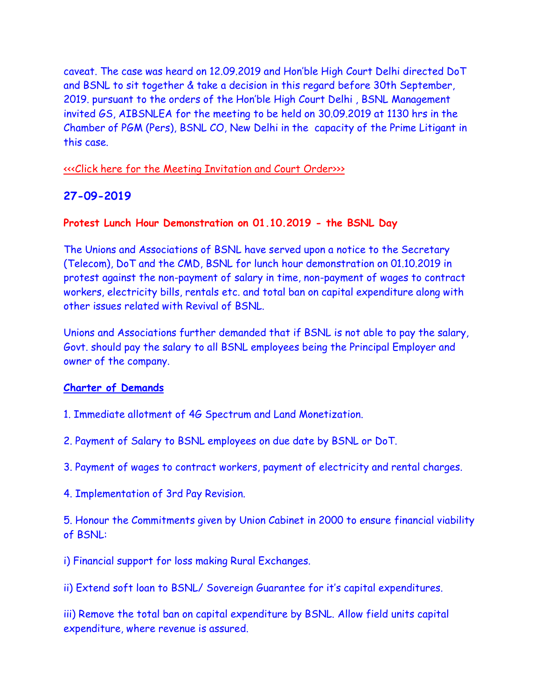caveat. The case was heard on 12.09.2019 and Hon'ble High Court Delhi directed DoT and BSNL to sit together & take a decision in this regard before 30th September, 2019. pursuant to the orders of the Hon'ble High Court Delhi , BSNL Management invited GS, AIBSNLEA for the meeting to be held on 30.09.2019 at 1130 hrs in the Chamber of PGM (Pers), BSNL CO, New Delhi in the capacity of the Prime Litigant in this case.

### [<<<Click here for the Meeting Invitation and Court Order>>>](http://www.aibsnleachq.in/PGM_190930.pdf)

## **27-09-2019**

#### **Protest Lunch Hour Demonstration on 01.10.2019 - the BSNL Day**

The Unions and Associations of BSNL have served upon a notice to the Secretary (Telecom), DoT and the CMD, BSNL for lunch hour demonstration on 01.10.2019 in protest against the non-payment of salary in time, non-payment of wages to contract workers, electricity bills, rentals etc. and total ban on capital expenditure along with other issues related with Revival of BSNL.

Unions and Associations further demanded that if BSNL is not able to pay the salary, Govt. should pay the salary to all BSNL employees being the Principal Employer and owner of the company.

#### **Charter of Demands**

- 1. Immediate allotment of 4G Spectrum and Land Monetization.
- 2. Payment of Salary to BSNL employees on due date by BSNL or DoT.
- 3. Payment of wages to contract workers, payment of electricity and rental charges.
- 4. Implementation of 3rd Pay Revision.

5. Honour the Commitments given by Union Cabinet in 2000 to ensure financial viability of BSNL:

i) Financial support for loss making Rural Exchanges.

ii) Extend soft loan to BSNL/ Sovereign Guarantee for it's capital expenditures.

iii) Remove the total ban on capital expenditure by BSNL. Allow field units capital expenditure, where revenue is assured.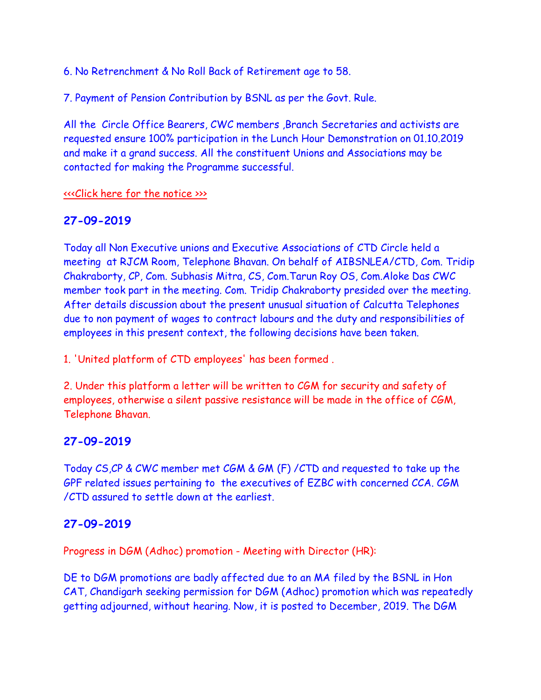6. No Retrenchment & No Roll Back of Retirement age to 58.

7. Payment of Pension Contribution by BSNL as per the Govt. Rule.

All the Circle Office Bearers, CWC members ,Branch Secretaries and activists are requested ensure 100% participation in the Lunch Hour Demonstration on 01.10.2019 and make it a grand success. All the constituent Unions and Associations may be contacted for making the Programme successful.

[<<<Click here for the notice >>>](http://www.aibsnleachq.in/protest%20lunch%20hour%20demo%20on%2001.10.2019.pdf)

## **27-09-2019**

Today all Non Executive unions and Executive Associations of CTD Circle held a meeting at RJCM Room, Telephone Bhavan. On behalf of AIBSNLEA/CTD, Com. Tridip Chakraborty, CP, Com. Subhasis Mitra, CS, Com.Tarun Roy OS, Com.Aloke Das CWC member took part in the meeting. Com. Tridip Chakraborty presided over the meeting. After details discussion about the present unusual situation of Calcutta Telephones due to non payment of wages to contract labours and the duty and responsibilities of employees in this present context, the following decisions have been taken.

1. 'United platform of CTD employees' has been formed .

2. Under this platform a letter will be written to CGM for security and safety of employees, otherwise a silent passive resistance will be made in the office of CGM, Telephone Bhavan.

## **27-09-2019**

Today CS,CP & CWC member met CGM & GM (F) /CTD and requested to take up the GPF related issues pertaining to the executives of EZBC with concerned CCA. CGM /CTD assured to settle down at the earliest.

# **27-09-2019**

Progress in DGM (Adhoc) promotion - Meeting with Director (HR):

DE to DGM promotions are badly affected due to an MA filed by the BSNL in Hon CAT, Chandigarh seeking permission for DGM (Adhoc) promotion which was repeatedly getting adjourned, without hearing. Now, it is posted to December, 2019. The DGM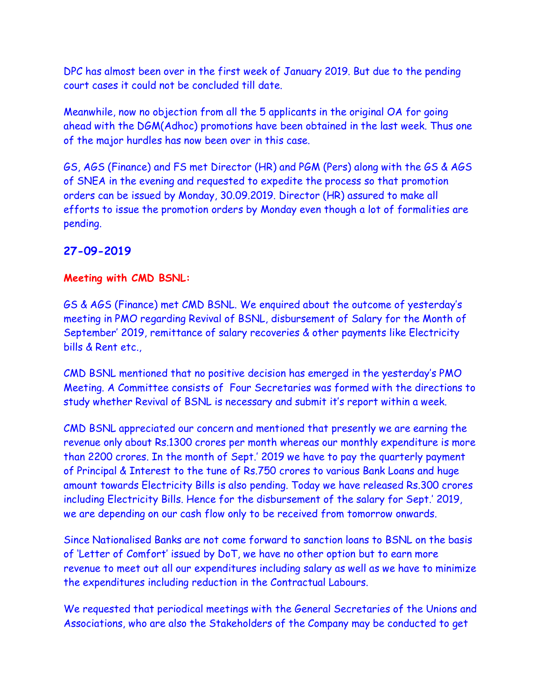DPC has almost been over in the first week of January 2019. But due to the pending court cases it could not be concluded till date.

Meanwhile, now no objection from all the 5 applicants in the original OA for going ahead with the DGM(Adhoc) promotions have been obtained in the last week. Thus one of the major hurdles has now been over in this case.

GS, AGS (Finance) and FS met Director (HR) and PGM (Pers) along with the GS & AGS of SNEA in the evening and requested to expedite the process so that promotion orders can be issued by Monday, 30.09.2019. Director (HR) assured to make all efforts to issue the promotion orders by Monday even though a lot of formalities are pending.

## **27-09-2019**

## **Meeting with CMD BSNL:**

GS & AGS (Finance) met CMD BSNL. We enquired about the outcome of yesterday's meeting in PMO regarding Revival of BSNL, disbursement of Salary for the Month of September' 2019, remittance of salary recoveries & other payments like Electricity bills & Rent etc.,

CMD BSNL mentioned that no positive decision has emerged in the yesterday's PMO Meeting. A Committee consists of Four Secretaries was formed with the directions to study whether Revival of BSNL is necessary and submit it's report within a week.

CMD BSNL appreciated our concern and mentioned that presently we are earning the revenue only about Rs.1300 crores per month whereas our monthly expenditure is more than 2200 crores. In the month of Sept.' 2019 we have to pay the quarterly payment of Principal & Interest to the tune of Rs.750 crores to various Bank Loans and huge amount towards Electricity Bills is also pending. Today we have released Rs.300 crores including Electricity Bills. Hence for the disbursement of the salary for Sept.' 2019, we are depending on our cash flow only to be received from tomorrow onwards.

Since Nationalised Banks are not come forward to sanction loans to BSNL on the basis of 'Letter of Comfort' issued by DoT, we have no other option but to earn more revenue to meet out all our expenditures including salary as well as we have to minimize the expenditures including reduction in the Contractual Labours.

We requested that periodical meetings with the General Secretaries of the Unions and Associations, who are also the Stakeholders of the Company may be conducted to get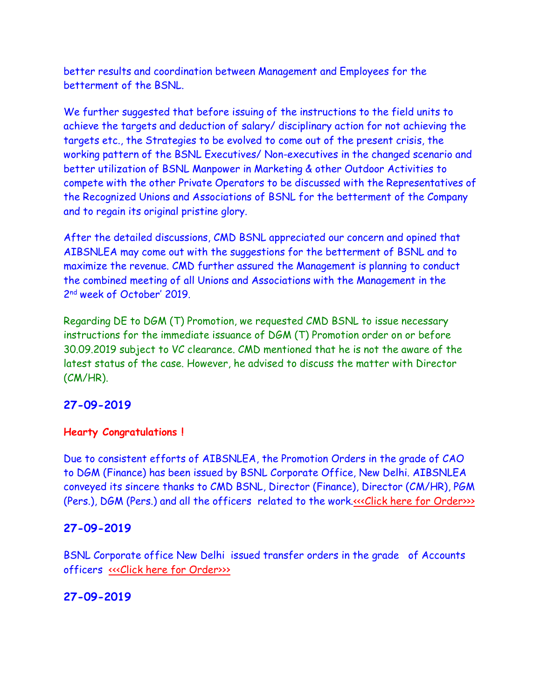better results and coordination between Management and Employees for the betterment of the BSNL.

We further suggested that before issuing of the instructions to the field units to achieve the targets and deduction of salary/ disciplinary action for not achieving the targets etc., the Strategies to be evolved to come out of the present crisis, the working pattern of the BSNL Executives/ Non-executives in the changed scenario and better utilization of BSNL Manpower in Marketing & other Outdoor Activities to compete with the other Private Operators to be discussed with the Representatives of the Recognized Unions and Associations of BSNL for the betterment of the Company and to regain its original pristine glory.

After the detailed discussions, CMD BSNL appreciated our concern and opined that AIBSNLEA may come out with the suggestions for the betterment of BSNL and to maximize the revenue. CMD further assured the Management is planning to conduct the combined meeting of all Unions and Associations with the Management in the 2 nd week of October' 2019.

Regarding DE to DGM (T) Promotion, we requested CMD BSNL to issue necessary instructions for the immediate issuance of DGM (T) Promotion order on or before 30.09.2019 subject to VC clearance. CMD mentioned that he is not the aware of the latest status of the case. However, he advised to discuss the matter with Director (CM/HR).

## **27-09-2019**

#### **Hearty Congratulations !**

Due to consistent efforts of AIBSNLEA, the Promotion Orders in the grade of CAO to DGM (Finance) has been issued by BSNL Corporate Office, New Delhi. AIBSNLEA conveyed its sincere thanks to CMD BSNL, Director (Finance), Director (CM/HR), PGM (Pers.), DGM (Pers.) and all the officers related to the work[.<<<Click here for Order>>>](http://www.aibsnleachq.in/PROMOTION_CAO-to-DGM-Adh_2709190001.pdf)

## **27-09-2019**

BSNL Corporate office New Delhi issued transfer orders in the grade of Accounts officers [<<<Click here for Order>>>](http://www.aibsnleachq.in/transfer27092019.pdf)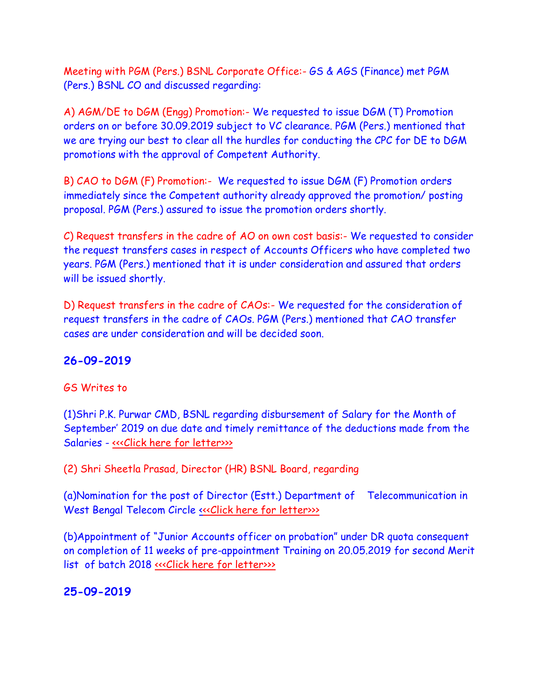Meeting with PGM (Pers.) BSNL Corporate Office:- GS & AGS (Finance) met PGM (Pers.) BSNL CO and discussed regarding:

A) AGM/DE to DGM (Engg) Promotion:- We requested to issue DGM (T) Promotion orders on or before 30.09.2019 subject to VC clearance. PGM (Pers.) mentioned that we are trying our best to clear all the hurdles for conducting the CPC for DE to DGM promotions with the approval of Competent Authority.

B) CAO to DGM (F) Promotion:- We requested to issue DGM (F) Promotion orders immediately since the Competent authority already approved the promotion/ posting proposal. PGM (Pers.) assured to issue the promotion orders shortly.

C) Request transfers in the cadre of AO on own cost basis:- We requested to consider the request transfers cases in respect of Accounts Officers who have completed two years. PGM (Pers.) mentioned that it is under consideration and assured that orders will be issued shortly.

D) Request transfers in the cadre of CAOs:- We requested for the consideration of request transfers in the cadre of CAOs. PGM (Pers.) mentioned that CAO transfer cases are under consideration and will be decided soon.

## **26-09-2019**

#### GS Writes to

(1)Shri P.K. Purwar CMD, BSNL regarding disbursement of Salary for the Month of September' 2019 on due date and timely remittance of the deductions made from the Salaries - [<<<Click here for letter>>>](http://www.aibsnleachq.in/CMD_190926.pdf)

(2) Shri Sheetla Prasad, Director (HR) BSNL Board, regarding

(a)Nomination for the post of Director (Estt.) Department of Telecommunication in West Bengal Telecom Circle <<< Click here for letter>>>>

(b)Appointment of "Junior Accounts officer on probation" under DR quota consequent on completion of 11 weeks of pre-appointment Training on 20.05.2019 for second Merit list of batch 2018 «<< Click here for letter>>>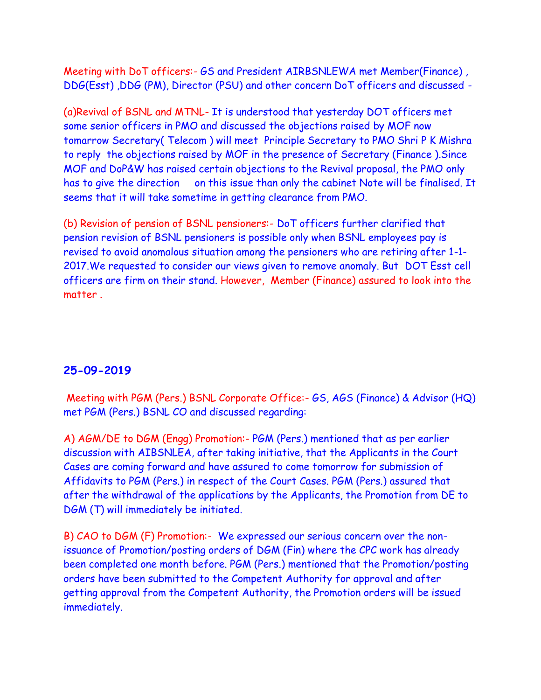Meeting with DoT officers:- GS and President AIRBSNLEWA met Member(Finance) , DDG(Esst) ,DDG (PM), Director (PSU) and other concern DoT officers and discussed -

(a)Revival of BSNL and MTNL- It is understood that yesterday DOT officers met some senior officers in PMO and discussed the objections raised by MOF now tomarrow Secretary( Telecom ) will meet Principle Secretary to PMO Shri P K Mishra to reply the objections raised by MOF in the presence of Secretary (Finance ).Since MOF and DoP&W has raised certain objections to the Revival proposal, the PMO only has to give the direction on this issue than only the cabinet Note will be finalised. It seems that it will take sometime in getting clearance from PMO.

(b) Revision of pension of BSNL pensioners:- DoT officers further clarified that pension revision of BSNL pensioners is possible only when BSNL employees pay is revised to avoid anomalous situation among the pensioners who are retiring after 1-1- 2017.We requested to consider our views given to remove anomaly. But DOT Esst cell officers are firm on their stand. However, Member (Finance) assured to look into the matter .

## **25-09-2019**

Meeting with PGM (Pers.) BSNL Corporate Office:- GS, AGS (Finance) & Advisor (HQ) met PGM (Pers.) BSNL CO and discussed regarding:

A) AGM/DE to DGM (Engg) Promotion:- PGM (Pers.) mentioned that as per earlier discussion with AIBSNLEA, after taking initiative, that the Applicants in the Court Cases are coming forward and have assured to come tomorrow for submission of Affidavits to PGM (Pers.) in respect of the Court Cases. PGM (Pers.) assured that after the withdrawal of the applications by the Applicants, the Promotion from DE to DGM (T) will immediately be initiated.

B) CAO to DGM (F) Promotion:- We expressed our serious concern over the nonissuance of Promotion/posting orders of DGM (Fin) where the CPC work has already been completed one month before. PGM (Pers.) mentioned that the Promotion/posting orders have been submitted to the Competent Authority for approval and after getting approval from the Competent Authority, the Promotion orders will be issued immediately.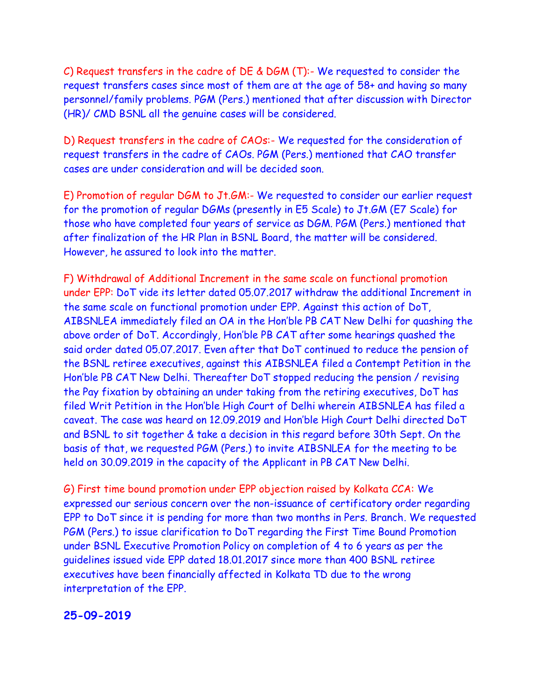C) Request transfers in the cadre of DE & DGM (T):- We requested to consider the request transfers cases since most of them are at the age of 58+ and having so many personnel/family problems. PGM (Pers.) mentioned that after discussion with Director (HR)/ CMD BSNL all the genuine cases will be considered.

D) Request transfers in the cadre of CAOs:- We requested for the consideration of request transfers in the cadre of CAOs. PGM (Pers.) mentioned that CAO transfer cases are under consideration and will be decided soon.

E) Promotion of regular DGM to Jt.GM:- We requested to consider our earlier request for the promotion of regular DGMs (presently in E5 Scale) to Jt.GM (E7 Scale) for those who have completed four years of service as DGM. PGM (Pers.) mentioned that after finalization of the HR Plan in BSNL Board, the matter will be considered. However, he assured to look into the matter.

F) Withdrawal of Additional Increment in the same scale on functional promotion under EPP: DoT vide its letter dated 05.07.2017 withdraw the additional Increment in the same scale on functional promotion under EPP. Against this action of DoT, AIBSNLEA immediately filed an OA in the Hon'ble PB CAT New Delhi for quashing the above order of DoT. Accordingly, Hon'ble PB CAT after some hearings quashed the said order dated 05.07.2017. Even after that DoT continued to reduce the pension of the BSNL retiree executives, against this AIBSNLEA filed a Contempt Petition in the Hon'ble PB CAT New Delhi. Thereafter DoT stopped reducing the pension / revising the Pay fixation by obtaining an under taking from the retiring executives, DoT has filed Writ Petition in the Hon'ble High Court of Delhi wherein AIBSNLEA has filed a caveat. The case was heard on 12.09.2019 and Hon'ble High Court Delhi directed DoT and BSNL to sit together & take a decision in this regard before 30th Sept. On the basis of that, we requested PGM (Pers.) to invite AIBSNLEA for the meeting to be held on 30.09.2019 in the capacity of the Applicant in PB CAT New Delhi.

G) First time bound promotion under EPP objection raised by Kolkata CCA: We expressed our serious concern over the non-issuance of certificatory order regarding EPP to DoT since it is pending for more than two months in Pers. Branch. We requested PGM (Pers.) to issue clarification to DoT regarding the First Time Bound Promotion under BSNL Executive Promotion Policy on completion of 4 to 6 years as per the guidelines issued vide EPP dated 18.01.2017 since more than 400 BSNL retiree executives have been financially affected in Kolkata TD due to the wrong interpretation of the EPP.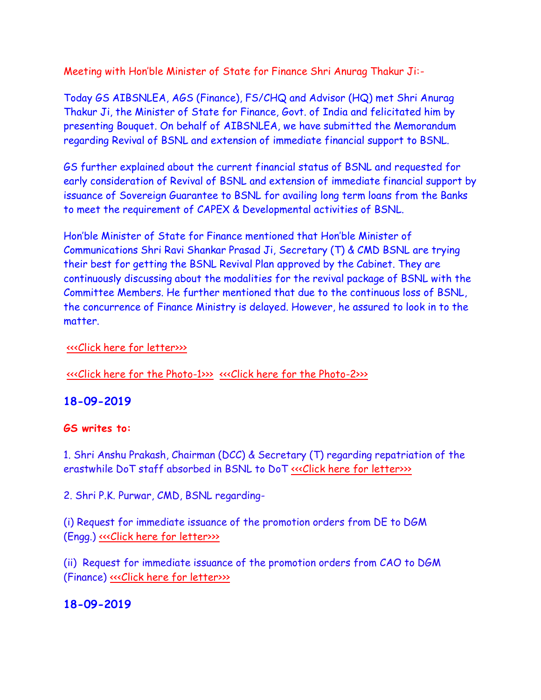Meeting with Hon'ble Minister of State for Finance Shri Anurag Thakur Ji:-

Today GS AIBSNLEA, AGS (Finance), FS/CHQ and Advisor (HQ) met Shri Anurag Thakur Ji, the Minister of State for Finance, Govt. of India and felicitated him by presenting Bouquet. On behalf of AIBSNLEA, we have submitted the Memorandum regarding Revival of BSNL and extension of immediate financial support to BSNL.

GS further explained about the current financial status of BSNL and requested for early consideration of Revival of BSNL and extension of immediate financial support by issuance of Sovereign Guarantee to BSNL for availing long term loans from the Banks to meet the requirement of CAPEX & Developmental activities of BSNL.

Hon'ble Minister of State for Finance mentioned that Hon'ble Minister of Communications Shri Ravi Shankar Prasad Ji, Secretary (T) & CMD BSNL are trying their best for getting the BSNL Revival Plan approved by the Cabinet. They are continuously discussing about the modalities for the revival package of BSNL with the Committee Members. He further mentioned that due to the continuous loss of BSNL, the concurrence of Finance Ministry is delayed. However, he assured to look in to the matter.

#### [<<<Click here for letter>>>](http://www.aibsnleachq.in/MOS_190924.pdf)

[<<<Click here for the Photo-1>>>](http://www.aibsnleachq.in/MOSF-1_20190925.jpg) [<<<Click here for the Photo-2>>>](http://www.aibsnleachq.in/MOSF-2_20190925.jpg)

## **18-09-2019**

## **GS writes to:**

1. Shri Anshu Prakash, Chairman (DCC) & Secretary (T) regarding repatriation of the erastwhile DoT staff absorbed in BSNL to DoT «<< Click here for letter>>>

2. Shri P.K. Purwar, CMD, BSNL regarding-

(i) Request for immediate issuance of the promotion orders from DE to DGM (Engg.) <<< Click here for letter>>>>

(ii) Request for immediate issuance of the promotion orders from CAO to DGM (Finance) [<<<Click here for letter>>>](http://www.aibsnleachq.in/CAO-DGM_20190919.pdf)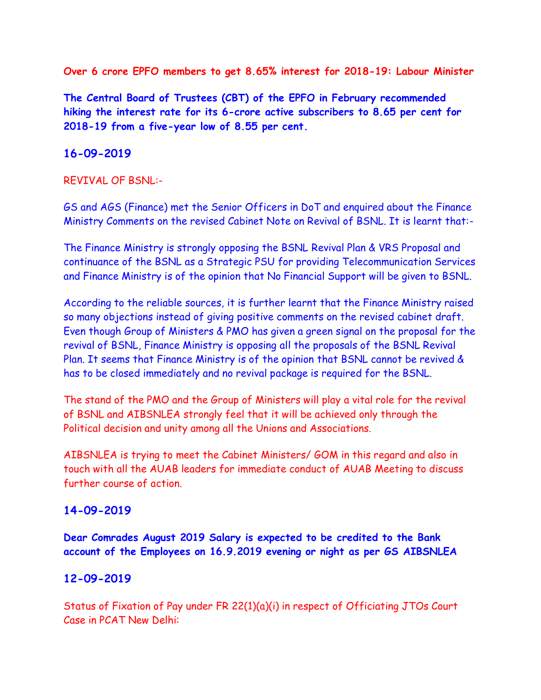**Over 6 crore EPFO members to get 8.65% interest for 2018-19: Labour Minister**

**The Central Board of Trustees (CBT) of the EPFO in February recommended hiking the interest rate for its 6-crore active subscribers to 8.65 per cent for 2018-19 from a five-year low of 8.55 per cent.**

## **16-09-2019**

### REVIVAL OF BSNL:-

GS and AGS (Finance) met the Senior Officers in DoT and enquired about the Finance Ministry Comments on the revised Cabinet Note on Revival of BSNL. It is learnt that:-

The Finance Ministry is strongly opposing the BSNL Revival Plan & VRS Proposal and continuance of the BSNL as a Strategic PSU for providing Telecommunication Services and Finance Ministry is of the opinion that No Financial Support will be given to BSNL.

According to the reliable sources, it is further learnt that the Finance Ministry raised so many objections instead of giving positive comments on the revised cabinet draft. Even though Group of Ministers & PMO has given a green signal on the proposal for the revival of BSNL, Finance Ministry is opposing all the proposals of the BSNL Revival Plan. It seems that Finance Ministry is of the opinion that BSNL cannot be revived & has to be closed immediately and no revival package is required for the BSNL.

The stand of the PMO and the Group of Ministers will play a vital role for the revival of BSNL and AIBSNLEA strongly feel that it will be achieved only through the Political decision and unity among all the Unions and Associations.

AIBSNLEA is trying to meet the Cabinet Ministers/ GOM in this regard and also in touch with all the AUAB leaders for immediate conduct of AUAB Meeting to discuss further course of action.

## **14-09-2019**

**Dear Comrades August 2019 Salary is expected to be credited to the Bank account of the Employees on 16.9.2019 evening or night as per GS AIBSNLEA**

## **12-09-2019**

Status of Fixation of Pay under FR 22(1)(a)(i) in respect of Officiating JTOs Court Case in PCAT New Delhi: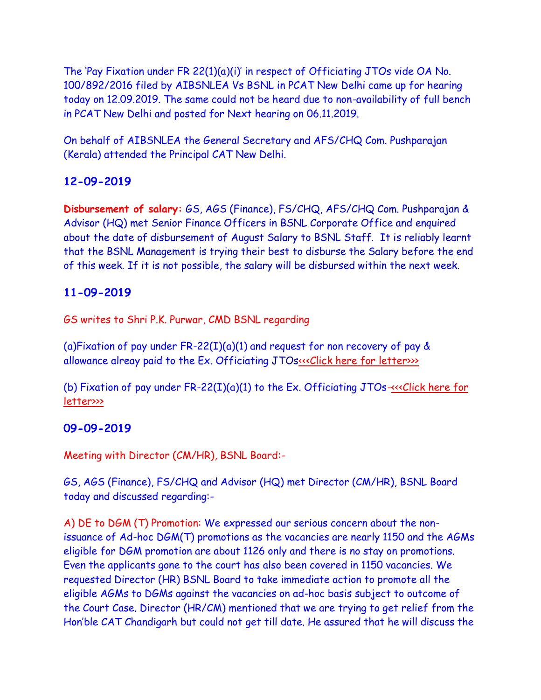The 'Pay Fixation under FR 22(1)(a)(i)' in respect of Officiating JTOs vide OA No. 100/892/2016 filed by AIBSNLEA Vs BSNL in PCAT New Delhi came up for hearing today on 12.09.2019. The same could not be heard due to non-availability of full bench in PCAT New Delhi and posted for Next hearing on 06.11.2019.

On behalf of AIBSNLEA the General Secretary and AFS/CHQ Com. Pushparajan (Kerala) attended the Principal CAT New Delhi.

# **12-09-2019**

**Disbursement of salary:** GS, AGS (Finance), FS/CHQ, AFS/CHQ Com. Pushparajan & Advisor (HQ) met Senior Finance Officers in BSNL Corporate Office and enquired about the date of disbursement of August Salary to BSNL Staff. It is reliably learnt that the BSNL Management is trying their best to disburse the Salary before the end of this week. If it is not possible, the salary will be disbursed within the next week.

# **11-09-2019**

GS writes to Shri P.K. Purwar, CMD BSNL regarding

(a)Fixation of pay under FR-22(I)(a)(1) and request for non recovery of pay  $\&$ allowance alreay paid to the Ex. Officiating JTOs«<<Click here for letter>>>>

(b) Fixation of pay under  $FR-22(I)(a)(1)$  to the Ex. Officiating JTOs- $\ll$ Click here for [letter>>>](http://www.aibsnleachq.in/cmd_190911_2.PDF)

# **09-09-2019**

Meeting with Director (CM/HR), BSNL Board:-

GS, AGS (Finance), FS/CHQ and Advisor (HQ) met Director (CM/HR), BSNL Board today and discussed regarding:-

A) DE to DGM (T) Promotion: We expressed our serious concern about the nonissuance of Ad-hoc DGM(T) promotions as the vacancies are nearly 1150 and the AGMs eligible for DGM promotion are about 1126 only and there is no stay on promotions. Even the applicants gone to the court has also been covered in 1150 vacancies. We requested Director (HR) BSNL Board to take immediate action to promote all the eligible AGMs to DGMs against the vacancies on ad-hoc basis subject to outcome of the Court Case. Director (HR/CM) mentioned that we are trying to get relief from the Hon'ble CAT Chandigarh but could not get till date. He assured that he will discuss the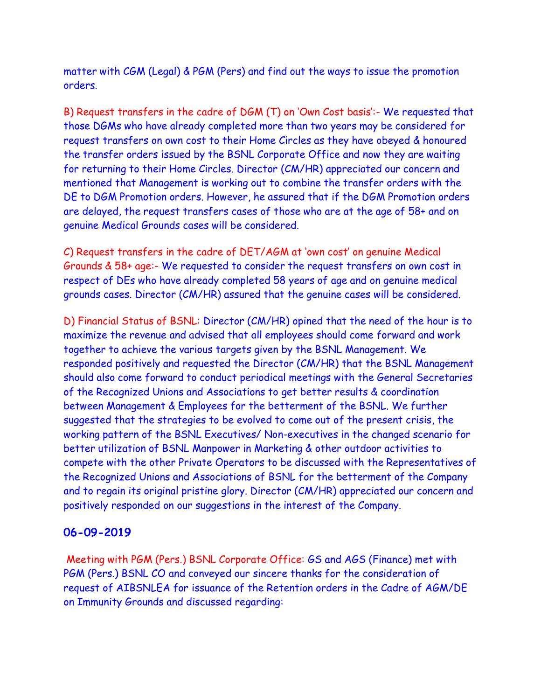matter with CGM (Legal) & PGM (Pers) and find out the ways to issue the promotion orders.

B) Request transfers in the cadre of DGM (T) on 'Own Cost basis':- We requested that those DGMs who have already completed more than two years may be considered for request transfers on own cost to their Home Circles as they have obeyed & honoured the transfer orders issued by the BSNL Corporate Office and now they are waiting for returning to their Home Circles. Director (CM/HR) appreciated our concern and mentioned that Management is working out to combine the transfer orders with the DE to DGM Promotion orders. However, he assured that if the DGM Promotion orders are delayed, the request transfers cases of those who are at the age of 58+ and on genuine Medical Grounds cases will be considered.

C) Request transfers in the cadre of DET/AGM at 'own cost' on genuine Medical Grounds & 58+ age:- We requested to consider the request transfers on own cost in respect of DEs who have already completed 58 years of age and on genuine medical grounds cases. Director (CM/HR) assured that the genuine cases will be considered.

D) Financial Status of BSNL: Director (CM/HR) opined that the need of the hour is to maximize the revenue and advised that all employees should come forward and work together to achieve the various targets given by the BSNL Management. We responded positively and requested the Director (CM/HR) that the BSNL Management should also come forward to conduct periodical meetings with the General Secretaries of the Recognized Unions and Associations to get better results & coordination between Management & Employees for the betterment of the BSNL. We further suggested that the strategies to be evolved to come out of the present crisis, the working pattern of the BSNL Executives/ Non-executives in the changed scenario for better utilization of BSNL Manpower in Marketing & other outdoor activities to compete with the other Private Operators to be discussed with the Representatives of the Recognized Unions and Associations of BSNL for the betterment of the Company and to regain its original pristine glory. Director (CM/HR) appreciated our concern and positively responded on our suggestions in the interest of the Company.

#### **06-09-2019**

Meeting with PGM (Pers.) BSNL Corporate Office: GS and AGS (Finance) met with PGM (Pers.) BSNL CO and conveyed our sincere thanks for the consideration of request of AIBSNLEA for issuance of the Retention orders in the Cadre of AGM/DE on Immunity Grounds and discussed regarding: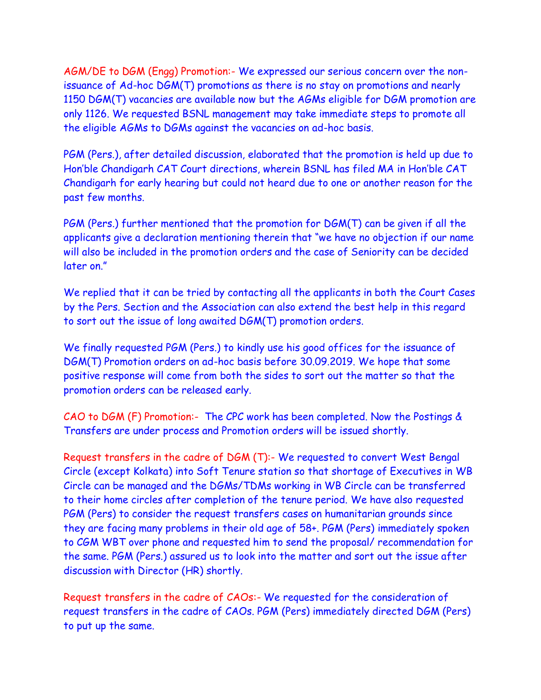AGM/DE to DGM (Engg) Promotion:- We expressed our serious concern over the nonissuance of Ad-hoc DGM(T) promotions as there is no stay on promotions and nearly 1150 DGM(T) vacancies are available now but the AGMs eligible for DGM promotion are only 1126. We requested BSNL management may take immediate steps to promote all the eligible AGMs to DGMs against the vacancies on ad-hoc basis.

PGM (Pers.), after detailed discussion, elaborated that the promotion is held up due to Hon'ble Chandigarh CAT Court directions, wherein BSNL has filed MA in Hon'ble CAT Chandigarh for early hearing but could not heard due to one or another reason for the past few months.

PGM (Pers.) further mentioned that the promotion for DGM(T) can be given if all the applicants give a declaration mentioning therein that "we have no objection if our name will also be included in the promotion orders and the case of Seniority can be decided later on."

We replied that it can be tried by contacting all the applicants in both the Court Cases by the Pers. Section and the Association can also extend the best help in this regard to sort out the issue of long awaited DGM(T) promotion orders.

We finally requested PGM (Pers.) to kindly use his good offices for the issuance of DGM(T) Promotion orders on ad-hoc basis before 30.09.2019. We hope that some positive response will come from both the sides to sort out the matter so that the promotion orders can be released early.

CAO to DGM (F) Promotion:- The CPC work has been completed. Now the Postings & Transfers are under process and Promotion orders will be issued shortly.

Request transfers in the cadre of DGM (T):- We requested to convert West Bengal Circle (except Kolkata) into Soft Tenure station so that shortage of Executives in WB Circle can be managed and the DGMs/TDMs working in WB Circle can be transferred to their home circles after completion of the tenure period. We have also requested PGM (Pers) to consider the request transfers cases on humanitarian grounds since they are facing many problems in their old age of 58+. PGM (Pers) immediately spoken to CGM WBT over phone and requested him to send the proposal/ recommendation for the same. PGM (Pers.) assured us to look into the matter and sort out the issue after discussion with Director (HR) shortly.

Request transfers in the cadre of CAOs:- We requested for the consideration of request transfers in the cadre of CAOs. PGM (Pers) immediately directed DGM (Pers) to put up the same.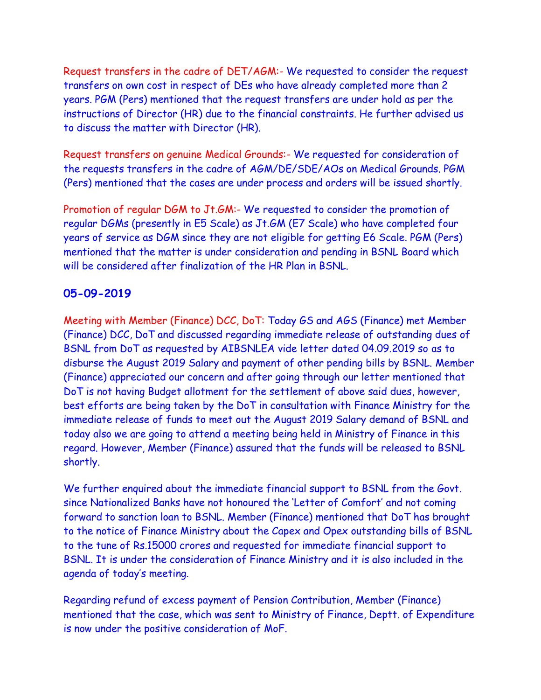Request transfers in the cadre of DET/AGM:- We requested to consider the request transfers on own cost in respect of DEs who have already completed more than 2 years. PGM (Pers) mentioned that the request transfers are under hold as per the instructions of Director (HR) due to the financial constraints. He further advised us to discuss the matter with Director (HR).

Request transfers on genuine Medical Grounds:- We requested for consideration of the requests transfers in the cadre of AGM/DE/SDE/AOs on Medical Grounds. PGM (Pers) mentioned that the cases are under process and orders will be issued shortly.

Promotion of regular DGM to Jt.GM:- We requested to consider the promotion of regular DGMs (presently in E5 Scale) as Jt.GM (E7 Scale) who have completed four years of service as DGM since they are not eligible for getting E6 Scale. PGM (Pers) mentioned that the matter is under consideration and pending in BSNL Board which will be considered after finalization of the HR Plan in BSNL.

# **05-09-2019**

Meeting with Member (Finance) DCC, DoT: Today GS and AGS (Finance) met Member (Finance) DCC, DoT and discussed regarding immediate release of outstanding dues of BSNL from DoT as requested by AIBSNLEA vide letter dated 04.09.2019 so as to disburse the August 2019 Salary and payment of other pending bills by BSNL. Member (Finance) appreciated our concern and after going through our letter mentioned that DoT is not having Budget allotment for the settlement of above said dues, however, best efforts are being taken by the DoT in consultation with Finance Ministry for the immediate release of funds to meet out the August 2019 Salary demand of BSNL and today also we are going to attend a meeting being held in Ministry of Finance in this regard. However, Member (Finance) assured that the funds will be released to BSNL shortly.

We further enquired about the immediate financial support to BSNL from the Govt. since Nationalized Banks have not honoured the 'Letter of Comfort' and not coming forward to sanction loan to BSNL. Member (Finance) mentioned that DoT has brought to the notice of Finance Ministry about the Capex and Opex outstanding bills of BSNL to the tune of Rs.15000 crores and requested for immediate financial support to BSNL. It is under the consideration of Finance Ministry and it is also included in the agenda of today's meeting.

Regarding refund of excess payment of Pension Contribution, Member (Finance) mentioned that the case, which was sent to Ministry of Finance, Deptt. of Expenditure is now under the positive consideration of MoF.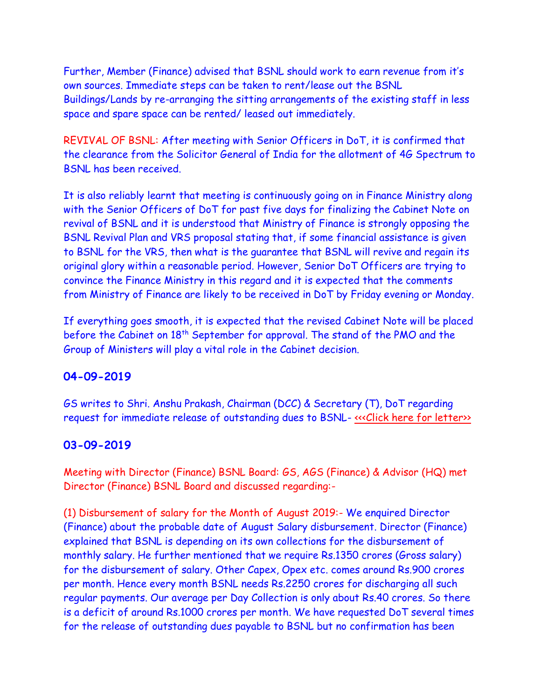Further, Member (Finance) advised that BSNL should work to earn revenue from it's own sources. Immediate steps can be taken to rent/lease out the BSNL Buildings/Lands by re-arranging the sitting arrangements of the existing staff in less space and spare space can be rented/ leased out immediately.

REVIVAL OF BSNL: After meeting with Senior Officers in DoT, it is confirmed that the clearance from the Solicitor General of India for the allotment of 4G Spectrum to BSNL has been received.

It is also reliably learnt that meeting is continuously going on in Finance Ministry along with the Senior Officers of DoT for past five days for finalizing the Cabinet Note on revival of BSNL and it is understood that Ministry of Finance is strongly opposing the BSNL Revival Plan and VRS proposal stating that, if some financial assistance is given to BSNL for the VRS, then what is the guarantee that BSNL will revive and regain its original glory within a reasonable period. However, Senior DoT Officers are trying to convince the Finance Ministry in this regard and it is expected that the comments from Ministry of Finance are likely to be received in DoT by Friday evening or Monday.

If everything goes smooth, it is expected that the revised Cabinet Note will be placed before the Cabinet on 18th September for approval. The stand of the PMO and the Group of Ministers will play a vital role in the Cabinet decision.

## **04-09-2019**

GS writes to Shri. Anshu Prakash, Chairman (DCC) & Secretary (T), DoT regarding request for immediate release of outstanding dues to BSNL- «<< Click here for letter>>

### **03-09-2019**

Meeting with Director (Finance) BSNL Board: GS, AGS (Finance) & Advisor (HQ) met Director (Finance) BSNL Board and discussed regarding:-

(1) Disbursement of salary for the Month of August 2019:- We enquired Director (Finance) about the probable date of August Salary disbursement. Director (Finance) explained that BSNL is depending on its own collections for the disbursement of monthly salary. He further mentioned that we require Rs.1350 crores (Gross salary) for the disbursement of salary. Other Capex, Opex etc. comes around Rs.900 crores per month. Hence every month BSNL needs Rs.2250 crores for discharging all such regular payments. Our average per Day Collection is only about Rs.40 crores. So there is a deficit of around Rs.1000 crores per month. We have requested DoT several times for the release of outstanding dues payable to BSNL but no confirmation has been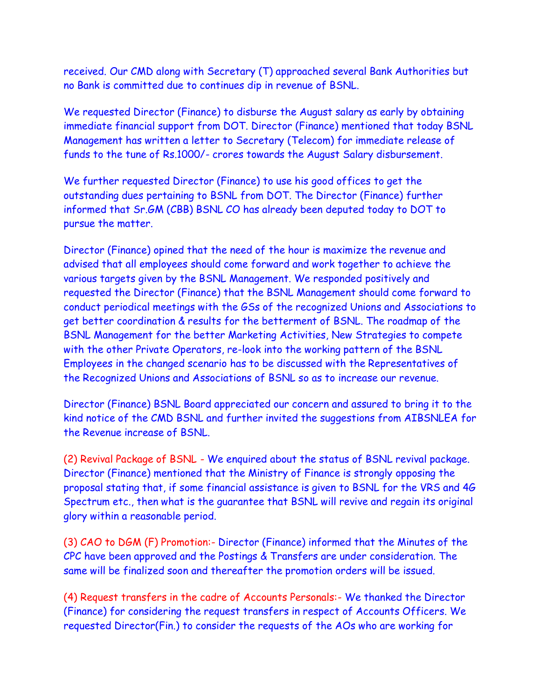received. Our CMD along with Secretary (T) approached several Bank Authorities but no Bank is committed due to continues dip in revenue of BSNL.

We requested Director (Finance) to disburse the August salary as early by obtaining immediate financial support from DOT. Director (Finance) mentioned that today BSNL Management has written a letter to Secretary (Telecom) for immediate release of funds to the tune of Rs.1000/- crores towards the August Salary disbursement.

We further requested Director (Finance) to use his good offices to get the outstanding dues pertaining to BSNL from DOT. The Director (Finance) further informed that Sr.GM (CBB) BSNL CO has already been deputed today to DOT to pursue the matter.

Director (Finance) opined that the need of the hour is maximize the revenue and advised that all employees should come forward and work together to achieve the various targets given by the BSNL Management. We responded positively and requested the Director (Finance) that the BSNL Management should come forward to conduct periodical meetings with the GSs of the recognized Unions and Associations to get better coordination & results for the betterment of BSNL. The roadmap of the BSNL Management for the better Marketing Activities, New Strategies to compete with the other Private Operators, re-look into the working pattern of the BSNL Employees in the changed scenario has to be discussed with the Representatives of the Recognized Unions and Associations of BSNL so as to increase our revenue.

Director (Finance) BSNL Board appreciated our concern and assured to bring it to the kind notice of the CMD BSNL and further invited the suggestions from AIBSNLEA for the Revenue increase of BSNL.

(2) Revival Package of BSNL - We enquired about the status of BSNL revival package. Director (Finance) mentioned that the Ministry of Finance is strongly opposing the proposal stating that, if some financial assistance is given to BSNL for the VRS and 4G Spectrum etc., then what is the guarantee that BSNL will revive and regain its original glory within a reasonable period.

(3) CAO to DGM (F) Promotion:- Director (Finance) informed that the Minutes of the CPC have been approved and the Postings & Transfers are under consideration. The same will be finalized soon and thereafter the promotion orders will be issued.

(4) Request transfers in the cadre of Accounts Personals:- We thanked the Director (Finance) for considering the request transfers in respect of Accounts Officers. We requested Director(Fin.) to consider the requests of the AOs who are working for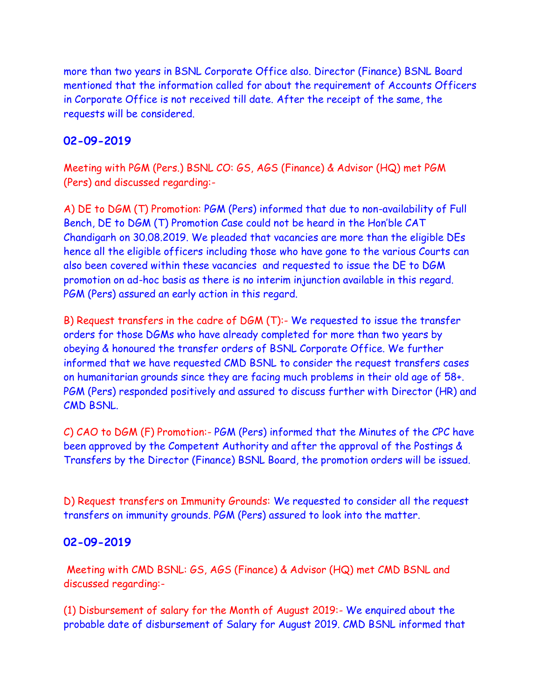more than two years in BSNL Corporate Office also. Director (Finance) BSNL Board mentioned that the information called for about the requirement of Accounts Officers in Corporate Office is not received till date. After the receipt of the same, the requests will be considered.

## **02-09-2019**

Meeting with PGM (Pers.) BSNL CO: GS, AGS (Finance) & Advisor (HQ) met PGM (Pers) and discussed regarding:-

A) DE to DGM (T) Promotion: PGM (Pers) informed that due to non-availability of Full Bench, DE to DGM (T) Promotion Case could not be heard in the Hon'ble CAT Chandigarh on 30.08.2019. We pleaded that vacancies are more than the eligible DEs hence all the eligible officers including those who have gone to the various Courts can also been covered within these vacancies and requested to issue the DE to DGM promotion on ad-hoc basis as there is no interim injunction available in this regard. PGM (Pers) assured an early action in this regard.

B) Request transfers in the cadre of DGM (T):- We requested to issue the transfer orders for those DGMs who have already completed for more than two years by obeying & honoured the transfer orders of BSNL Corporate Office. We further informed that we have requested CMD BSNL to consider the request transfers cases on humanitarian grounds since they are facing much problems in their old age of 58+. PGM (Pers) responded positively and assured to discuss further with Director (HR) and CMD BSNL.

C) CAO to DGM (F) Promotion:- PGM (Pers) informed that the Minutes of the CPC have been approved by the Competent Authority and after the approval of the Postings & Transfers by the Director (Finance) BSNL Board, the promotion orders will be issued.

D) Request transfers on Immunity Grounds: We requested to consider all the request transfers on immunity grounds. PGM (Pers) assured to look into the matter.

## **02-09-2019**

Meeting with CMD BSNL: GS, AGS (Finance) & Advisor (HQ) met CMD BSNL and discussed regarding:-

(1) Disbursement of salary for the Month of August 2019:- We enquired about the probable date of disbursement of Salary for August 2019. CMD BSNL informed that